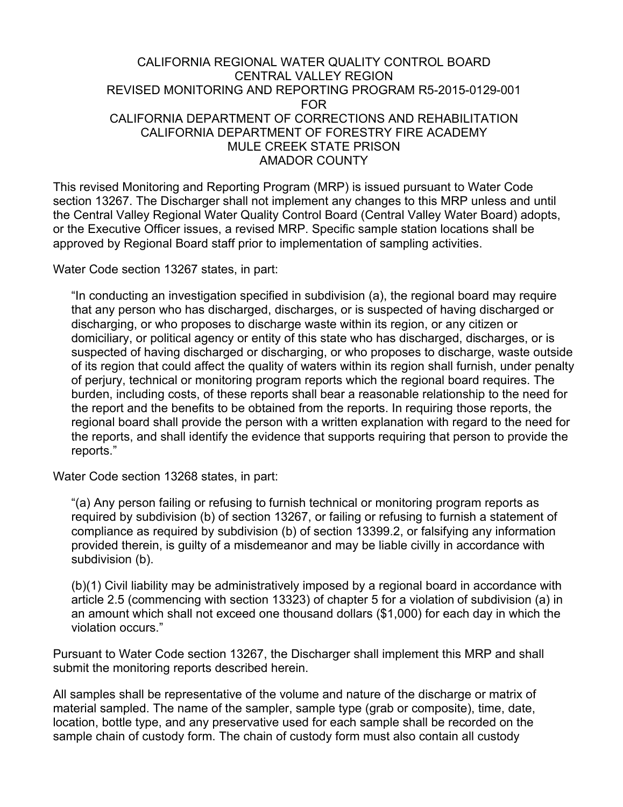#### CALIFORNIA REGIONAL WATER QUALITY CONTROL BOARD CENTRAL VALLEY REGION REVISED MONITORING AND REPORTING PROGRAM R5-2015-0129-001 FOR CALIFORNIA DEPARTMENT OF CORRECTIONS AND REHABILITATION CALIFORNIA DEPARTMENT OF FORESTRY FIRE ACADEMY MULE CREEK STATE PRISON AMADOR COUNTY

This revised Monitoring and Reporting Program (MRP) is issued pursuant to Water Code section 13267. The Discharger shall not implement any changes to this MRP unless and until the Central Valley Regional Water Quality Control Board (Central Valley Water Board) adopts, or the Executive Officer issues, a revised MRP. Specific sample station locations shall be approved by Regional Board staff prior to implementation of sampling activities.

Water Code section 13267 states, in part:

"In conducting an investigation specified in subdivision (a), the regional board may require that any person who has discharged, discharges, or is suspected of having discharged or discharging, or who proposes to discharge waste within its region, or any citizen or domiciliary, or political agency or entity of this state who has discharged, discharges, or is suspected of having discharged or discharging, or who proposes to discharge, waste outside of its region that could affect the quality of waters within its region shall furnish, under penalty of perjury, technical or monitoring program reports which the regional board requires. The burden, including costs, of these reports shall bear a reasonable relationship to the need for the report and the benefits to be obtained from the reports. In requiring those reports, the regional board shall provide the person with a written explanation with regard to the need for the reports, and shall identify the evidence that supports requiring that person to provide the reports."

Water Code section 13268 states, in part:

"(a) Any person failing or refusing to furnish technical or monitoring program reports as required by subdivision (b) of section 13267, or failing or refusing to furnish a statement of compliance as required by subdivision (b) of section 13399.2, or falsifying any information provided therein, is guilty of a misdemeanor and may be liable civilly in accordance with subdivision (b).

(b)(1) Civil liability may be administratively imposed by a regional board in accordance with article 2.5 (commencing with section 13323) of chapter 5 for a violation of subdivision (a) in an amount which shall not exceed one thousand dollars (\$1,000) for each day in which the violation occurs."

Pursuant to Water Code section 13267, the Discharger shall implement this MRP and shall submit the monitoring reports described herein.

All samples shall be representative of the volume and nature of the discharge or matrix of material sampled. The name of the sampler, sample type (grab or composite), time, date, location, bottle type, and any preservative used for each sample shall be recorded on the sample chain of custody form. The chain of custody form must also contain all custody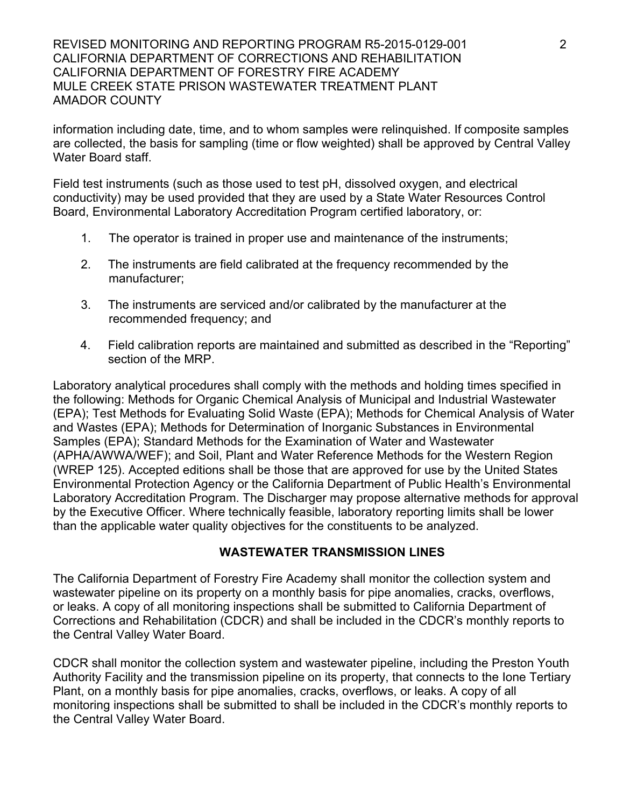REVISED MONITORING AND REPORTING PROGRAM R5-2015-0129-001 2 CALIFORNIA DEPARTMENT OF CORRECTIONS AND REHABILITATION CALIFORNIA DEPARTMENT OF FORESTRY FIRE ACADEMY MULE CREEK STATE PRISON WASTEWATER TREATMENT PLANT AMADOR COUNTY

information including date, time, and to whom samples were relinquished. If composite samples are collected, the basis for sampling (time or flow weighted) shall be approved by Central Valley Water Board staff

Field test instruments (such as those used to test pH, dissolved oxygen, and electrical conductivity) may be used provided that they are used by a State Water Resources Control Board, Environmental Laboratory Accreditation Program certified laboratory, or:

- 1. The operator is trained in proper use and maintenance of the instruments;
- 2. The instruments are field calibrated at the frequency recommended by the manufacturer;
- 3. The instruments are serviced and/or calibrated by the manufacturer at the recommended frequency; and
- 4. Field calibration reports are maintained and submitted as described in the "Reporting" section of the MRP.

Laboratory analytical procedures shall comply with the methods and holding times specified in the following: Methods for Organic Chemical Analysis of Municipal and Industrial Wastewater (EPA); Test Methods for Evaluating Solid Waste (EPA); Methods for Chemical Analysis of Water and Wastes (EPA); Methods for Determination of Inorganic Substances in Environmental Samples (EPA); Standard Methods for the Examination of Water and Wastewater (APHA/AWWA/WEF); and Soil, Plant and Water Reference Methods for the Western Region (WREP 125). Accepted editions shall be those that are approved for use by the United States Environmental Protection Agency or the California Department of Public Health's Environmental Laboratory Accreditation Program. The Discharger may propose alternative methods for approval by the Executive Officer. Where technically feasible, laboratory reporting limits shall be lower than the applicable water quality objectives for the constituents to be analyzed.

### **WASTEWATER TRANSMISSION LINES**

The California Department of Forestry Fire Academy shall monitor the collection system and wastewater pipeline on its property on a monthly basis for pipe anomalies, cracks, overflows, or leaks. A copy of all monitoring inspections shall be submitted to California Department of Corrections and Rehabilitation (CDCR) and shall be included in the CDCR's monthly reports to the Central Valley Water Board.

CDCR shall monitor the collection system and wastewater pipeline, including the Preston Youth Authority Facility and the transmission pipeline on its property, that connects to the Ione Tertiary Plant, on a monthly basis for pipe anomalies, cracks, overflows, or leaks. A copy of all monitoring inspections shall be submitted to shall be included in the CDCR's monthly reports to the Central Valley Water Board.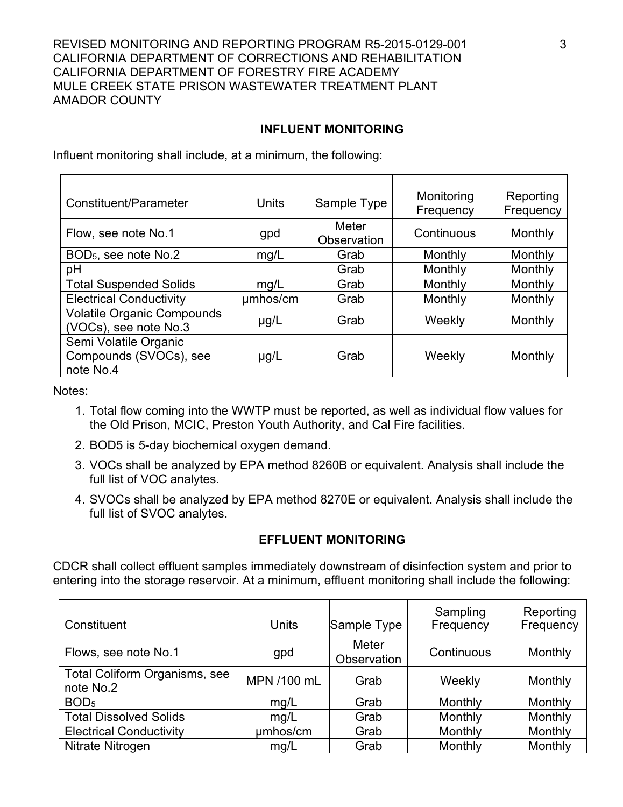REVISED MONITORING AND REPORTING PROGRAM R5-2015-0129-001 3 CALIFORNIA DEPARTMENT OF CORRECTIONS AND REHABILITATION CALIFORNIA DEPARTMENT OF FORESTRY FIRE ACADEMY MULE CREEK STATE PRISON WASTEWATER TREATMENT PLANT AMADOR COUNTY

### **INFLUENT MONITORING**

Influent monitoring shall include, at a minimum, the following:

| Constituent/Parameter                                        | <b>Units</b> | Sample Type          | Monitoring<br>Frequency | Reporting<br>Frequency |
|--------------------------------------------------------------|--------------|----------------------|-------------------------|------------------------|
| Flow, see note No.1                                          | gpd          | Meter<br>Observation | Continuous              | Monthly                |
| BOD <sub>5</sub> , see note No.2                             | mg/L         | Grab                 | Monthly                 | Monthly                |
| pH                                                           |              | Grab                 | Monthly                 | Monthly                |
| <b>Total Suspended Solids</b>                                | mg/L         | Grab                 | Monthly                 | Monthly                |
| <b>Electrical Conductivity</b>                               | umhos/cm     | Grab                 | Monthly                 | Monthly                |
| <b>Volatile Organic Compounds</b><br>(VOCs), see note No.3   | $\mu$ g/L    | Grab                 | Weekly                  | Monthly                |
| Semi Volatile Organic<br>Compounds (SVOCs), see<br>note No.4 | $\mu$ g/L    | Grab                 | Weekly                  | Monthly                |

Notes:

- 1. Total flow coming into the WWTP must be reported, as well as individual flow values for the Old Prison, MCIC, Preston Youth Authority, and Cal Fire facilities.
- 2. BOD5 is 5-day biochemical oxygen demand.
- 3. VOCs shall be analyzed by EPA method 8260B or equivalent. Analysis shall include the full list of VOC analytes.
- 4. SVOCs shall be analyzed by EPA method 8270E or equivalent. Analysis shall include the full list of SVOC analytes.

### **EFFLUENT MONITORING**

CDCR shall collect effluent samples immediately downstream of disinfection system and prior to entering into the storage reservoir. At a minimum, effluent monitoring shall include the following:

| Constituent                                       | <b>Units</b> | Sample Type          | Sampling<br>Frequency | Reporting<br>Frequency |
|---------------------------------------------------|--------------|----------------------|-----------------------|------------------------|
| Flows, see note No.1                              | gpd          | Meter<br>Observation | Continuous            | Monthly                |
| <b>Total Coliform Organisms, see</b><br>note No.2 | MPN /100 mL  | Grab                 | Weekly                | Monthly                |
| BOD <sub>5</sub>                                  | mg/L         | Grab                 | Monthly               | Monthly                |
| <b>Total Dissolved Solids</b>                     | mg/L         | Grab                 | Monthly               | Monthly                |
| <b>Electrical Conductivity</b>                    | umhos/cm     | Grab                 | Monthly               | Monthly                |
| Nitrate Nitrogen                                  | mq/L         | Grab                 | Monthly               | Monthly                |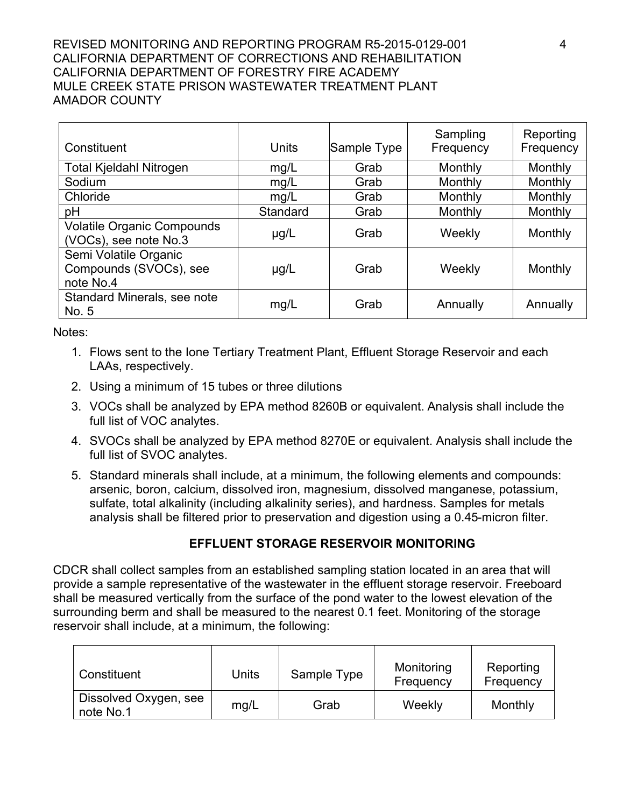### REVISED MONITORING AND REPORTING PROGRAM R5-2015-0129-001 4 CALIFORNIA DEPARTMENT OF CORRECTIONS AND REHABILITATION CALIFORNIA DEPARTMENT OF FORESTRY FIRE ACADEMY MULE CREEK STATE PRISON WASTEWATER TREATMENT PLANT AMADOR COUNTY

| Constituent                                                  | <b>Units</b> | Sample Type | Sampling<br>Frequency | Reporting<br>Frequency |
|--------------------------------------------------------------|--------------|-------------|-----------------------|------------------------|
| <b>Total Kjeldahl Nitrogen</b>                               | mg/L         | Grab        | Monthly               | Monthly                |
| Sodium                                                       | mg/L         | Grab        | Monthly               | Monthly                |
| Chloride                                                     | mg/L         | Grab        | Monthly               | Monthly                |
| pH                                                           | Standard     | Grab        | Monthly               | Monthly                |
| <b>Volatile Organic Compounds</b><br>(VOCs), see note No.3   | $\mu$ g/L    | Grab        | Weekly                | Monthly                |
| Semi Volatile Organic<br>Compounds (SVOCs), see<br>note No.4 | $\mu$ g/L    | Grab        | Weekly                | Monthly                |
| Standard Minerals, see note<br>No. 5                         | mg/L         | Grab        | Annually              | Annually               |

Notes:

- 1. Flows sent to the Ione Tertiary Treatment Plant, Effluent Storage Reservoir and each LAAs, respectively.
- 2. Using a minimum of 15 tubes or three dilutions
- 3. VOCs shall be analyzed by EPA method 8260B or equivalent. Analysis shall include the full list of VOC analytes.
- 4. SVOCs shall be analyzed by EPA method 8270E or equivalent. Analysis shall include the full list of SVOC analytes.
- 5. Standard minerals shall include, at a minimum, the following elements and compounds: arsenic, boron, calcium, dissolved iron, magnesium, dissolved manganese, potassium, sulfate, total alkalinity (including alkalinity series), and hardness. Samples for metals analysis shall be filtered prior to preservation and digestion using a 0.45-micron filter.

# **EFFLUENT STORAGE RESERVOIR MONITORING**

CDCR shall collect samples from an established sampling station located in an area that will provide a sample representative of the wastewater in the effluent storage reservoir. Freeboard shall be measured vertically from the surface of the pond water to the lowest elevation of the surrounding berm and shall be measured to the nearest 0.1 feet. Monitoring of the storage reservoir shall include, at a minimum, the following:

| Constituent                        | Units | Sample Type | Monitoring<br>Frequency | Reporting<br>Frequency |
|------------------------------------|-------|-------------|-------------------------|------------------------|
| Dissolved Oxygen, see<br>note No.1 | mg/L  | Grab        | Weekly                  | Monthly                |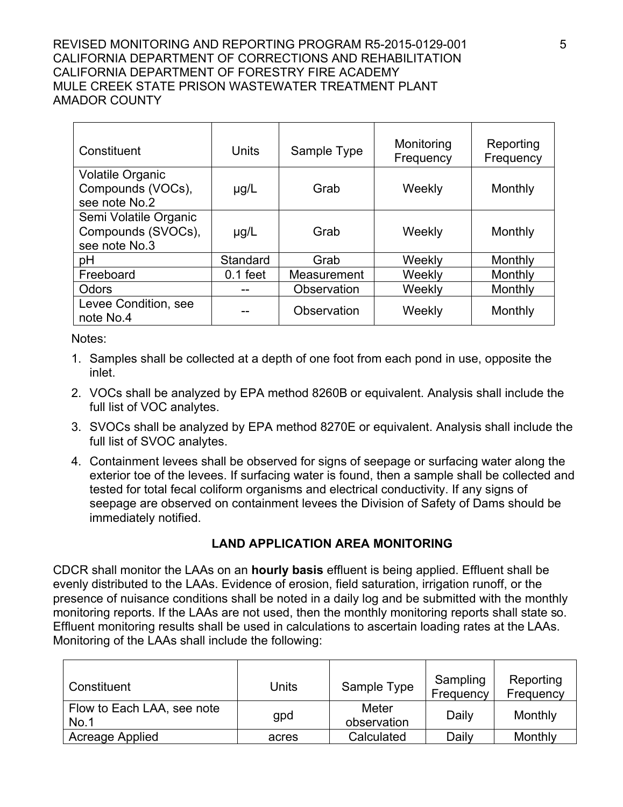### REVISED MONITORING AND REPORTING PROGRAM R5-2015-0129-001 **5** CALIFORNIA DEPARTMENT OF CORRECTIONS AND REHABILITATION CALIFORNIA DEPARTMENT OF FORESTRY FIRE ACADEMY MULE CREEK STATE PRISON WASTEWATER TREATMENT PLANT AMADOR COUNTY

| Constituent                                                   | Units      | Sample Type | Monitoring<br>Frequency | Reporting<br>Frequency |
|---------------------------------------------------------------|------------|-------------|-------------------------|------------------------|
| <b>Volatile Organic</b><br>Compounds (VOCs),<br>see note No.2 | $\mu$ g/L  | Grab        | Weekly                  | Monthly                |
| Semi Volatile Organic<br>Compounds (SVOCs),<br>see note No.3  | $\mu$ g/L  | Grab        | Weekly                  | Monthly                |
| рH                                                            | Standard   | Grab        | Weekly                  | Monthly                |
| Freeboard                                                     | $0.1$ feet | Measurement | Weekly                  | Monthly                |
| Odors                                                         |            | Observation | Weekly                  | Monthly                |
| Levee Condition, see<br>note No.4                             |            | Observation | Weekly                  | Monthly                |

Notes:

- 1. Samples shall be collected at a depth of one foot from each pond in use, opposite the inlet.
- 2. VOCs shall be analyzed by EPA method 8260B or equivalent. Analysis shall include the full list of VOC analytes.
- 3. SVOCs shall be analyzed by EPA method 8270E or equivalent. Analysis shall include the full list of SVOC analytes.
- 4. Containment levees shall be observed for signs of seepage or surfacing water along the exterior toe of the levees. If surfacing water is found, then a sample shall be collected and tested for total fecal coliform organisms and electrical conductivity. If any signs of seepage are observed on containment levees the Division of Safety of Dams should be immediately notified.

# **LAND APPLICATION AREA MONITORING**

CDCR shall monitor the LAAs on an **hourly basis** effluent is being applied. Effluent shall be evenly distributed to the LAAs. Evidence of erosion, field saturation, irrigation runoff, or the presence of nuisance conditions shall be noted in a daily log and be submitted with the monthly monitoring reports. If the LAAs are not used, then the monthly monitoring reports shall state so. Effluent monitoring results shall be used in calculations to ascertain loading rates at the LAAs. Monitoring of the LAAs shall include the following:

| Constituent                        | Units | Sample Type          | Sampling<br>Frequency | Reporting<br>Frequency |
|------------------------------------|-------|----------------------|-----------------------|------------------------|
| Flow to Each LAA, see note<br>No.1 | gpd   | Meter<br>observation | Daily                 | Monthly                |
| Acreage Applied                    | acres | Calculated           | Daily                 | Monthly                |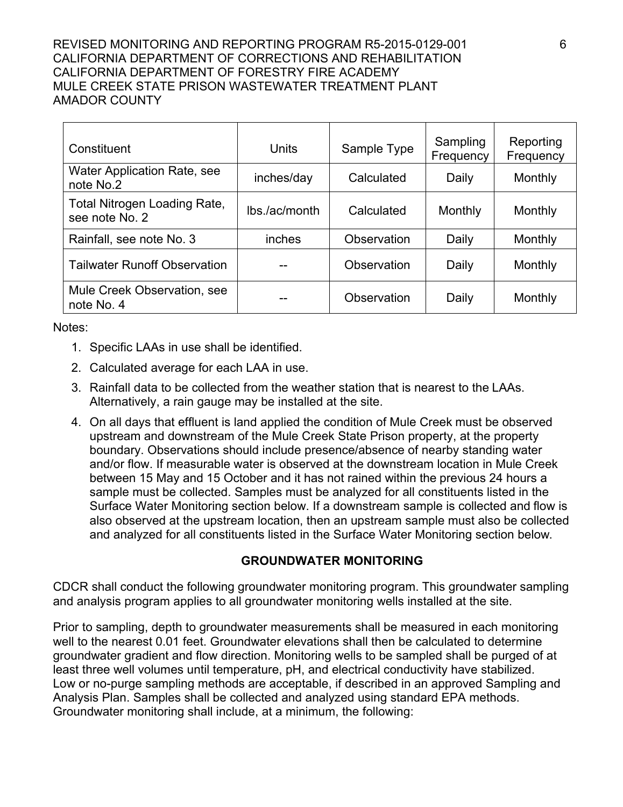### REVISED MONITORING AND REPORTING PROGRAM R5-2015-0129-001 6 CALIFORNIA DEPARTMENT OF CORRECTIONS AND REHABILITATION CALIFORNIA DEPARTMENT OF FORESTRY FIRE ACADEMY MULE CREEK STATE PRISON WASTEWATER TREATMENT PLANT AMADOR COUNTY

| Constituent                                           | Units         | Sample Type | Sampling<br>Frequency | Reporting<br>Frequency |
|-------------------------------------------------------|---------------|-------------|-----------------------|------------------------|
| <b>Water Application Rate, see</b><br>note No.2       | inches/day    | Calculated  | Daily                 | Monthly                |
| <b>Total Nitrogen Loading Rate,</b><br>see note No. 2 | lbs./ac/month | Calculated  | Monthly               | Monthly                |
| Rainfall, see note No. 3                              | inches        | Observation | Daily                 | Monthly                |
| <b>Tailwater Runoff Observation</b>                   | --            | Observation | Daily                 | Monthly                |
| Mule Creek Observation, see<br>note No. 4             | --            | Observation | Daily                 | Monthly                |

Notes:

- 1. Specific LAAs in use shall be identified.
- 2. Calculated average for each LAA in use.
- 3. Rainfall data to be collected from the weather station that is nearest to the LAAs. Alternatively, a rain gauge may be installed at the site.
- 4. On all days that effluent is land applied the condition of Mule Creek must be observed upstream and downstream of the Mule Creek State Prison property, at the property boundary. Observations should include presence/absence of nearby standing water and/or flow. If measurable water is observed at the downstream location in Mule Creek between 15 May and 15 October and it has not rained within the previous 24 hours a sample must be collected. Samples must be analyzed for all constituents listed in the Surface Water Monitoring section below. If a downstream sample is collected and flow is also observed at the upstream location, then an upstream sample must also be collected and analyzed for all constituents listed in the Surface Water Monitoring section below.

### **GROUNDWATER MONITORING**

CDCR shall conduct the following groundwater monitoring program. This groundwater sampling and analysis program applies to all groundwater monitoring wells installed at the site.

Prior to sampling, depth to groundwater measurements shall be measured in each monitoring well to the nearest 0.01 feet. Groundwater elevations shall then be calculated to determine groundwater gradient and flow direction. Monitoring wells to be sampled shall be purged of at least three well volumes until temperature, pH, and electrical conductivity have stabilized. Low or no-purge sampling methods are acceptable, if described in an approved Sampling and Analysis Plan. Samples shall be collected and analyzed using standard EPA methods. Groundwater monitoring shall include, at a minimum, the following: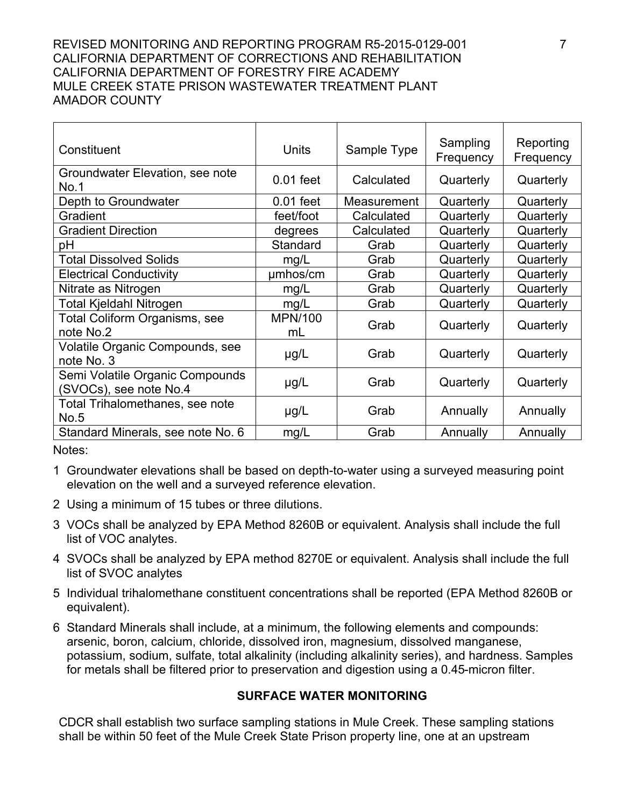### REVISED MONITORING AND REPORTING PROGRAM R5-2015-0129-001 7 CALIFORNIA DEPARTMENT OF CORRECTIONS AND REHABILITATION CALIFORNIA DEPARTMENT OF FORESTRY FIRE ACADEMY MULE CREEK STATE PRISON WASTEWATER TREATMENT PLANT AMADOR COUNTY

| Constituent                                               | <b>Units</b>         | Sample Type | Sampling<br>Frequency | Reporting<br>Frequency |
|-----------------------------------------------------------|----------------------|-------------|-----------------------|------------------------|
| Groundwater Elevation, see note<br>No.1                   | $0.01$ feet          | Calculated  | Quarterly             | Quarterly              |
| Depth to Groundwater                                      | $0.01$ feet          | Measurement | Quarterly             | Quarterly              |
| Gradient                                                  | feet/foot            | Calculated  | Quarterly             | Quarterly              |
| <b>Gradient Direction</b>                                 | degrees              | Calculated  | Quarterly             | Quarterly              |
| рH                                                        | Standard             | Grab        | Quarterly             | Quarterly              |
| <b>Total Dissolved Solids</b>                             | mg/L                 | Grab        | Quarterly             | Quarterly              |
| <b>Electrical Conductivity</b>                            | umhos/cm             | Grab        | Quarterly             | Quarterly              |
| Nitrate as Nitrogen                                       | mg/L                 | Grab        | Quarterly             | Quarterly              |
| Total Kjeldahl Nitrogen                                   | mg/L                 | Grab        | Quarterly             | Quarterly              |
| <b>Total Coliform Organisms, see</b><br>note No.2         | <b>MPN/100</b><br>mL | Grab        | Quarterly             | Quarterly              |
| Volatile Organic Compounds, see<br>note No. 3             | $\mu$ g/L            | Grab        | Quarterly             | Quarterly              |
| Semi Volatile Organic Compounds<br>(SVOCs), see note No.4 | $\mu$ g/L            | Grab        | Quarterly             | Quarterly              |
| Total Trihalomethanes, see note<br>No.5                   | $\mu$ g/L            | Grab        | Annually              | Annually               |
| Standard Minerals, see note No. 6                         | mg/L                 | Grab        | Annually              | Annually               |

Notes:

1 Groundwater elevations shall be based on depth-to-water using a surveyed measuring point elevation on the well and a surveyed reference elevation.

- 2 Using a minimum of 15 tubes or three dilutions.
- 3 VOCs shall be analyzed by EPA Method 8260B or equivalent. Analysis shall include the full list of VOC analytes.
- 4 SVOCs shall be analyzed by EPA method 8270E or equivalent. Analysis shall include the full list of SVOC analytes
- 5 Individual trihalomethane constituent concentrations shall be reported (EPA Method 8260B or equivalent).
- 6 Standard Minerals shall include, at a minimum, the following elements and compounds: arsenic, boron, calcium, chloride, dissolved iron, magnesium, dissolved manganese, potassium, sodium, sulfate, total alkalinity (including alkalinity series), and hardness. Samples for metals shall be filtered prior to preservation and digestion using a 0.45-micron filter.

## **SURFACE WATER MONITORING**

CDCR shall establish two surface sampling stations in Mule Creek. These sampling stations shall be within 50 feet of the Mule Creek State Prison property line, one at an upstream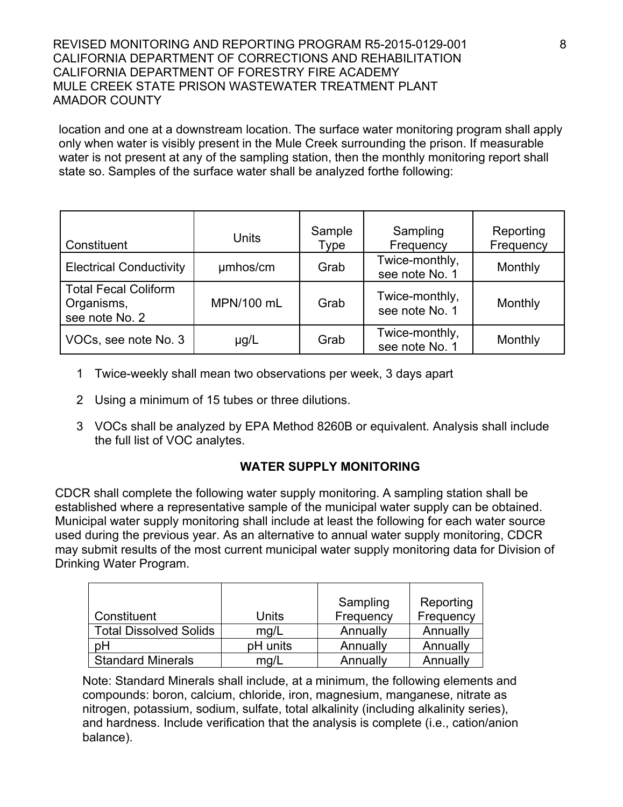#### REVISED MONITORING AND REPORTING PROGRAM R5-2015-0129-001 **8** CALIFORNIA DEPARTMENT OF CORRECTIONS AND REHABILITATION CALIFORNIA DEPARTMENT OF FORESTRY FIRE ACADEMY MULE CREEK STATE PRISON WASTEWATER TREATMENT PLANT AMADOR COUNTY

location and one at a downstream location. The surface water monitoring program shall apply only when water is visibly present in the Mule Creek surrounding the prison. If measurable water is not present at any of the sampling station, then the monthly monitoring report shall state so. Samples of the surface water shall be analyzed forthe following:

| Constituent                                                 | <b>Units</b> | Sample<br>Type | Sampling<br>Frequency            | Reporting<br>Frequency |
|-------------------------------------------------------------|--------------|----------------|----------------------------------|------------------------|
| <b>Electrical Conductivity</b>                              | umhos/cm     | Grab           | Twice-monthly,<br>see note No. 1 | Monthly                |
| <b>Total Fecal Coliform</b><br>Organisms,<br>see note No. 2 | MPN/100 mL   | Grab           | Twice-monthly,<br>see note No. 1 | Monthly                |
| VOCs, see note No. 3                                        | $\mu$ g/L    | Grab           | Twice-monthly,<br>see note No. 1 | Monthly                |

- 1 Twice-weekly shall mean two observations per week, 3 days apart
- 2 Using a minimum of 15 tubes or three dilutions.
- 3 VOCs shall be analyzed by EPA Method 8260B or equivalent. Analysis shall include the full list of VOC analytes.

### **WATER SUPPLY MONITORING**

CDCR shall complete the following water supply monitoring. A sampling station shall be established where a representative sample of the municipal water supply can be obtained. Municipal water supply monitoring shall include at least the following for each water source used during the previous year. As an alternative to annual water supply monitoring, CDCR may submit results of the most current municipal water supply monitoring data for Division of Drinking Water Program.

|                               |          | Sampling  | Reporting |
|-------------------------------|----------|-----------|-----------|
| Constituent                   | Units    | Frequency | Frequency |
| <b>Total Dissolved Solids</b> | mg/L     | Annually  | Annually  |
| рH                            | pH units | Annually  | Annually  |
| <b>Standard Minerals</b>      | mq/L     | Annually  | Annually  |

Note: Standard Minerals shall include, at a minimum, the following elements and compounds: boron, calcium, chloride, iron, magnesium, manganese, nitrate as nitrogen, potassium, sodium, sulfate, total alkalinity (including alkalinity series), and hardness. Include verification that the analysis is complete (i.e., cation/anion balance).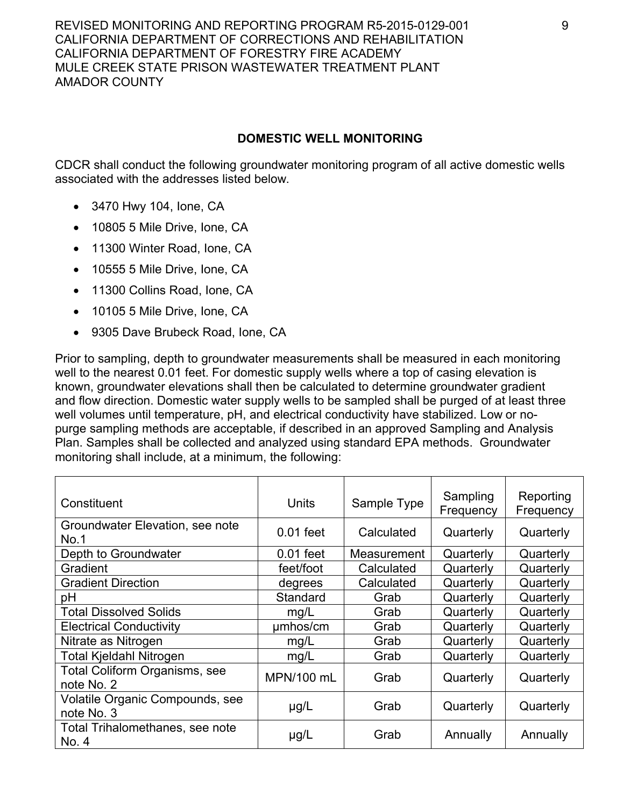REVISED MONITORING AND REPORTING PROGRAM R5-2015-0129-001 **Pro** CALIFORNIA DEPARTMENT OF CORRECTIONS AND REHABILITATION CALIFORNIA DEPARTMENT OF FORESTRY FIRE ACADEMY MULE CREEK STATE PRISON WASTEWATER TREATMENT PLANT AMADOR COUNTY

# **DOMESTIC WELL MONITORING**

CDCR shall conduct the following groundwater monitoring program of all active domestic wells associated with the addresses listed below.

- · 3470 Hwy 104, Ione, CA
- 10805 5 Mile Drive, Ione, CA
- 11300 Winter Road, Ione, CA
- 10555 5 Mile Drive, Ione, CA
- 11300 Collins Road, Ione, CA
- 10105 5 Mile Drive, Ione, CA
- · 9305 Dave Brubeck Road, Ione, CA

Prior to sampling, depth to groundwater measurements shall be measured in each monitoring well to the nearest 0.01 feet. For domestic supply wells where a top of casing elevation is known, groundwater elevations shall then be calculated to determine groundwater gradient and flow direction. Domestic water supply wells to be sampled shall be purged of at least three well volumes until temperature, pH, and electrical conductivity have stabilized. Low or nopurge sampling methods are acceptable, if described in an approved Sampling and Analysis Plan. Samples shall be collected and analyzed using standard EPA methods. Groundwater monitoring shall include, at a minimum, the following:

| Constituent                                        | <b>Units</b> | Sample Type | Sampling<br>Frequency | Reporting<br>Frequency |
|----------------------------------------------------|--------------|-------------|-----------------------|------------------------|
| Groundwater Elevation, see note<br>No.1            | $0.01$ feet  | Calculated  | Quarterly             | Quarterly              |
| Depth to Groundwater                               | $0.01$ feet  | Measurement | Quarterly             | Quarterly              |
| Gradient                                           | feet/foot    | Calculated  | Quarterly             | Quarterly              |
| <b>Gradient Direction</b>                          | degrees      | Calculated  | Quarterly             | Quarterly              |
| рH                                                 | Standard     | Grab        | Quarterly             | Quarterly              |
| <b>Total Dissolved Solids</b>                      | mg/L         | Grab        | Quarterly             | Quarterly              |
| <b>Electrical Conductivity</b>                     | umhos/cm     | Grab        | Quarterly             | Quarterly              |
| Nitrate as Nitrogen                                | mg/L         | Grab        | Quarterly             | Quarterly              |
| <b>Total Kjeldahl Nitrogen</b>                     | mg/L         | Grab        | Quarterly             | Quarterly              |
| <b>Total Coliform Organisms, see</b><br>note No. 2 | MPN/100 mL   | Grab        | Quarterly             | Quarterly              |
| Volatile Organic Compounds, see<br>note No. 3      | $\mu$ g/L    | Grab        | Quarterly             | Quarterly              |
| Total Trihalomethanes, see note<br>No. 4           | $\mu$ g/L    | Grab        | Annually              | Annually               |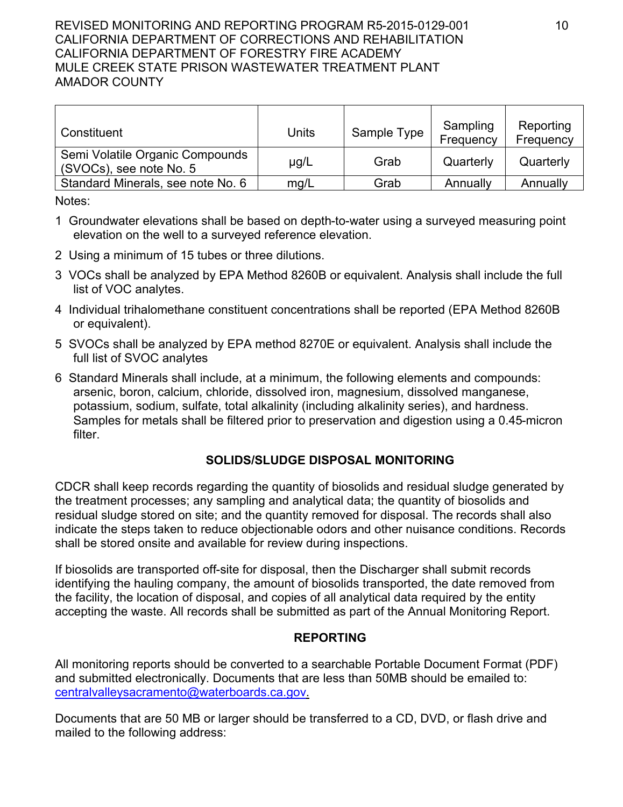### REVISED MONITORING AND REPORTING PROGRAM R5-2015-0129-001 10 CALIFORNIA DEPARTMENT OF CORRECTIONS AND REHABILITATION CALIFORNIA DEPARTMENT OF FORESTRY FIRE ACADEMY MULE CREEK STATE PRISON WASTEWATER TREATMENT PLANT AMADOR COUNTY

| Constituent                                                | Units | Sample Type | Sampling<br>Frequency | Reporting<br>Frequency |
|------------------------------------------------------------|-------|-------------|-----------------------|------------------------|
| Semi Volatile Organic Compounds<br>(SVOCs), see note No. 5 | µg/L  | Grab        | Quarterly             | Quarterly              |
| Standard Minerals, see note No. 6                          | mg/L  | Grab        | Annually              | Annually               |

Notes:

- 1 Groundwater elevations shall be based on depth-to-water using a surveyed measuring point elevation on the well to a surveyed reference elevation.
- 2 Using a minimum of 15 tubes or three dilutions.
- 3 VOCs shall be analyzed by EPA Method 8260B or equivalent. Analysis shall include the full list of VOC analytes.
- 4 Individual trihalomethane constituent concentrations shall be reported (EPA Method 8260B or equivalent).
- 5 SVOCs shall be analyzed by EPA method 8270E or equivalent. Analysis shall include the full list of SVOC analytes
- 6 Standard Minerals shall include, at a minimum, the following elements and compounds: arsenic, boron, calcium, chloride, dissolved iron, magnesium, dissolved manganese, potassium, sodium, sulfate, total alkalinity (including alkalinity series), and hardness. Samples for metals shall be filtered prior to preservation and digestion using a 0.45-micron filter.

## **SOLIDS/SLUDGE DISPOSAL MONITORING**

CDCR shall keep records regarding the quantity of biosolids and residual sludge generated by the treatment processes; any sampling and analytical data; the quantity of biosolids and residual sludge stored on site; and the quantity removed for disposal. The records shall also indicate the steps taken to reduce objectionable odors and other nuisance conditions. Records shall be stored onsite and available for review during inspections.

If biosolids are transported off-site for disposal, then the Discharger shall submit records identifying the hauling company, the amount of biosolids transported, the date removed from the facility, the location of disposal, and copies of all analytical data required by the entity accepting the waste. All records shall be submitted as part of the Annual Monitoring Report.

## **REPORTING**

All monitoring reports should be converted to a searchable Portable Document Format (PDF) and submitted electronically. Documents that are less than 50MB should be emailed to: [centralvalleysacramento@waterboards.ca.gov](mailto:centralvalleysacramento@waterboards.ca.gov).

Documents that are 50 MB or larger should be transferred to a CD, DVD, or flash drive and mailed to the following address: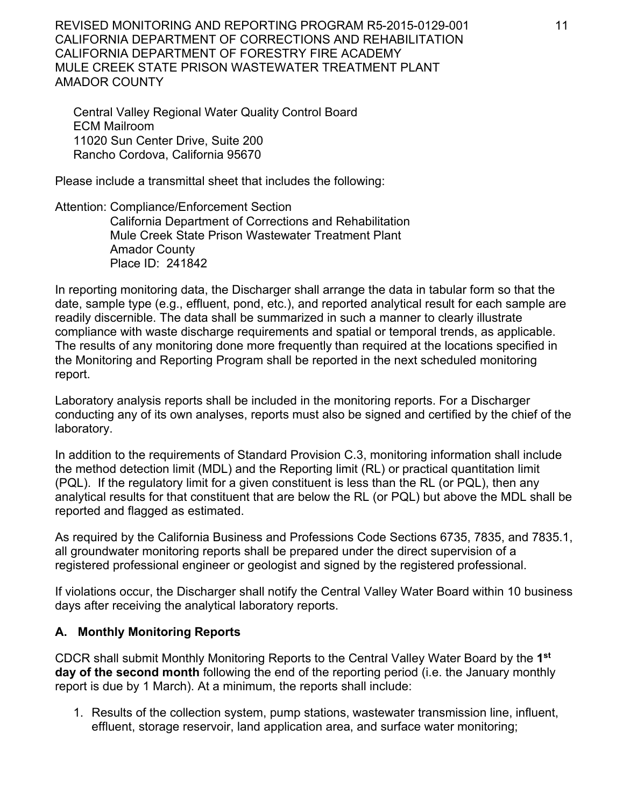REVISED MONITORING AND REPORTING PROGRAM R5-2015-0129-001 11 CALIFORNIA DEPARTMENT OF CORRECTIONS AND REHABILITATION CALIFORNIA DEPARTMENT OF FORESTRY FIRE ACADEMY MULE CREEK STATE PRISON WASTEWATER TREATMENT PLANT AMADOR COUNTY

Central Valley Regional Water Quality Control Board ECM Mailroom 11020 Sun Center Drive, Suite 200 Rancho Cordova, California 95670

Please include a transmittal sheet that includes the following:

### Attention: Compliance/Enforcement Section California Department of Corrections and Rehabilitation Mule Creek State Prison Wastewater Treatment Plant Amador County Place ID: 241842

In reporting monitoring data, the Discharger shall arrange the data in tabular form so that the date, sample type (e.g., effluent, pond, etc.), and reported analytical result for each sample are readily discernible. The data shall be summarized in such a manner to clearly illustrate compliance with waste discharge requirements and spatial or temporal trends, as applicable. The results of any monitoring done more frequently than required at the locations specified in the Monitoring and Reporting Program shall be reported in the next scheduled monitoring report.

Laboratory analysis reports shall be included in the monitoring reports. For a Discharger conducting any of its own analyses, reports must also be signed and certified by the chief of the laboratory.

In addition to the requirements of Standard Provision C.3, monitoring information shall include the method detection limit (MDL) and the Reporting limit (RL) or practical quantitation limit (PQL). If the regulatory limit for a given constituent is less than the RL (or PQL), then any analytical results for that constituent that are below the RL (or PQL) but above the MDL shall be reported and flagged as estimated.

As required by the California Business and Professions Code Sections 6735, 7835, and 7835.1, all groundwater monitoring reports shall be prepared under the direct supervision of a registered professional engineer or geologist and signed by the registered professional.

If violations occur, the Discharger shall notify the Central Valley Water Board within 10 business days after receiving the analytical laboratory reports.

# **A. Monthly Monitoring Reports**

CDCR shall submit Monthly Monitoring Reports to the Central Valley Water Board by the **1 st day of the second month** following the end of the reporting period (i.e. the January monthly report is due by 1 March). At a minimum, the reports shall include:

1. Results of the collection system, pump stations, wastewater transmission line, influent, effluent, storage reservoir, land application area, and surface water monitoring;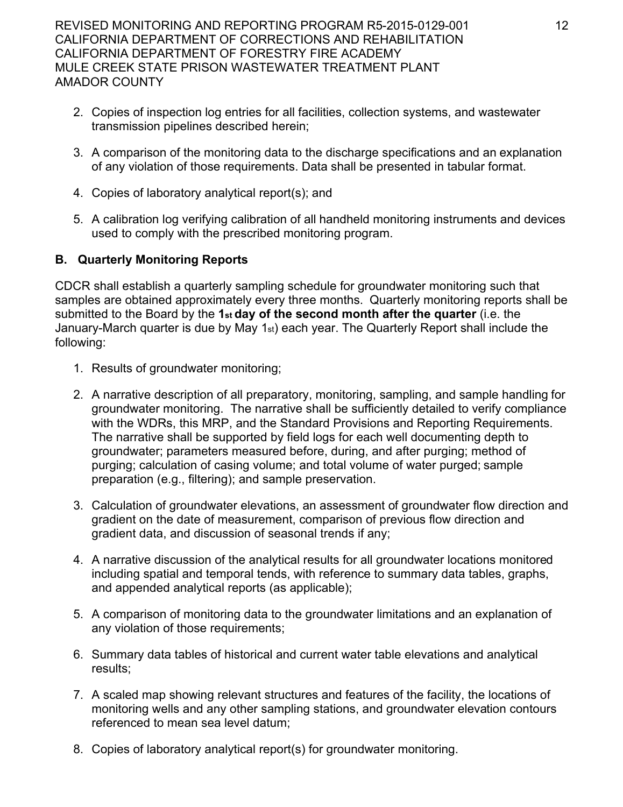REVISED MONITORING AND REPORTING PROGRAM R5-2015-0129-001 12 CALIFORNIA DEPARTMENT OF CORRECTIONS AND REHABILITATION CALIFORNIA DEPARTMENT OF FORESTRY FIRE ACADEMY MULE CREEK STATE PRISON WASTEWATER TREATMENT PLANT AMADOR COUNTY

- 2. Copies of inspection log entries for all facilities, collection systems, and wastewater transmission pipelines described herein;
- 3. A comparison of the monitoring data to the discharge specifications and an explanation of any violation of those requirements. Data shall be presented in tabular format.
- 4. Copies of laboratory analytical report(s); and
- 5. A calibration log verifying calibration of all handheld monitoring instruments and devices used to comply with the prescribed monitoring program.

## **B. Quarterly Monitoring Reports**

CDCR shall establish a quarterly sampling schedule for groundwater monitoring such that samples are obtained approximately every three months. Quarterly monitoring reports shall be submitted to the Board by the **1st day of the second month after the quarter** (i.e. the January-March quarter is due by May 1st) each year. The Quarterly Report shall include the following:

- 1. Results of groundwater monitoring;
- 2. A narrative description of all preparatory, monitoring, sampling, and sample handling for groundwater monitoring. The narrative shall be sufficiently detailed to verify compliance with the WDRs, this MRP, and the Standard Provisions and Reporting Requirements. The narrative shall be supported by field logs for each well documenting depth to groundwater; parameters measured before, during, and after purging; method of purging; calculation of casing volume; and total volume of water purged; sample preparation (e.g., filtering); and sample preservation.
- 3. Calculation of groundwater elevations, an assessment of groundwater flow direction and gradient on the date of measurement, comparison of previous flow direction and gradient data, and discussion of seasonal trends if any;
- 4. A narrative discussion of the analytical results for all groundwater locations monitored including spatial and temporal tends, with reference to summary data tables, graphs, and appended analytical reports (as applicable);
- 5. A comparison of monitoring data to the groundwater limitations and an explanation of any violation of those requirements;
- 6. Summary data tables of historical and current water table elevations and analytical results;
- 7. A scaled map showing relevant structures and features of the facility, the locations of monitoring wells and any other sampling stations, and groundwater elevation contours referenced to mean sea level datum;
- 8. Copies of laboratory analytical report(s) for groundwater monitoring.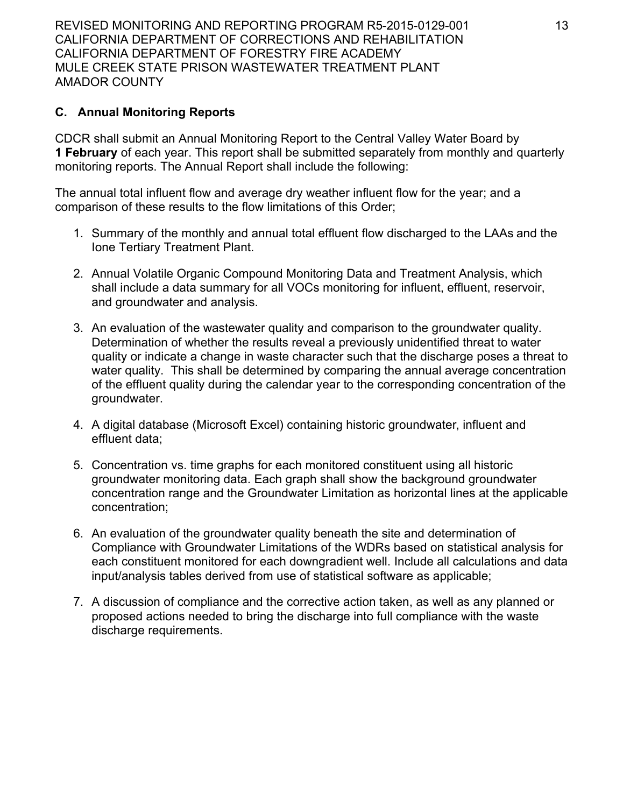REVISED MONITORING AND REPORTING PROGRAM R5-2015-0129-001 13 CALIFORNIA DEPARTMENT OF CORRECTIONS AND REHABILITATION CALIFORNIA DEPARTMENT OF FORESTRY FIRE ACADEMY MULE CREEK STATE PRISON WASTEWATER TREATMENT PLANT AMADOR COUNTY

# **C. Annual Monitoring Reports**

CDCR shall submit an Annual Monitoring Report to the Central Valley Water Board by **1 February** of each year. This report shall be submitted separately from monthly and quarterly monitoring reports. The Annual Report shall include the following:

The annual total influent flow and average dry weather influent flow for the year; and a comparison of these results to the flow limitations of this Order;

- 1. Summary of the monthly and annual total effluent flow discharged to the LAAs and the Ione Tertiary Treatment Plant.
- 2. Annual Volatile Organic Compound Monitoring Data and Treatment Analysis, which shall include a data summary for all VOCs monitoring for influent, effluent, reservoir, and groundwater and analysis.
- 3. An evaluation of the wastewater quality and comparison to the groundwater quality. Determination of whether the results reveal a previously unidentified threat to water quality or indicate a change in waste character such that the discharge poses a threat to water quality. This shall be determined by comparing the annual average concentration of the effluent quality during the calendar year to the corresponding concentration of the groundwater.
- 4. A digital database (Microsoft Excel) containing historic groundwater, influent and effluent data;
- 5. Concentration vs. time graphs for each monitored constituent using all historic groundwater monitoring data. Each graph shall show the background groundwater concentration range and the Groundwater Limitation as horizontal lines at the applicable concentration;
- 6. An evaluation of the groundwater quality beneath the site and determination of Compliance with Groundwater Limitations of the WDRs based on statistical analysis for each constituent monitored for each downgradient well. Include all calculations and data input/analysis tables derived from use of statistical software as applicable;
- 7. A discussion of compliance and the corrective action taken, as well as any planned or proposed actions needed to bring the discharge into full compliance with the waste discharge requirements.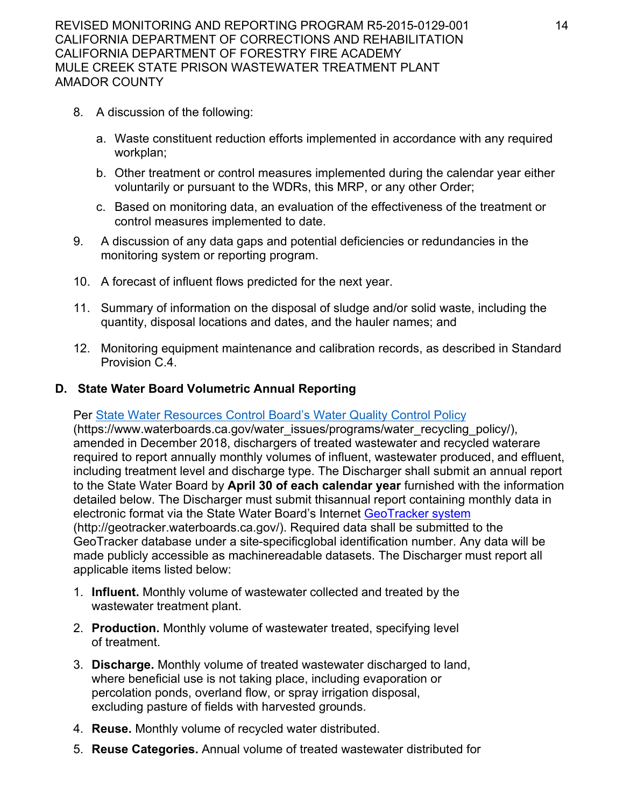REVISED MONITORING AND REPORTING PROGRAM R5-2015-0129-001 14 CALIFORNIA DEPARTMENT OF CORRECTIONS AND REHABILITATION CALIFORNIA DEPARTMENT OF FORESTRY FIRE ACADEMY MULE CREEK STATE PRISON WASTEWATER TREATMENT PLANT AMADOR COUNTY

- 8. A discussion of the following:
	- a. Waste constituent reduction efforts implemented in accordance with any required workplan;
	- b. Other treatment or control measures implemented during the calendar year either voluntarily or pursuant to the WDRs, this MRP, or any other Order;
	- c. Based on monitoring data, an evaluation of the effectiveness of the treatment or control measures implemented to date.
- 9. A discussion of any data gaps and potential deficiencies or redundancies in the monitoring system or reporting program.
- 10. A forecast of influent flows predicted for the next year.
- 11. Summary of information on the disposal of sludge and/or solid waste, including the quantity, disposal locations and dates, and the hauler names; and
- 12. Monitoring equipment maintenance and calibration records, as described in Standard Provision C.4.

## **D. State Water Board Volumetric Annual Reporting**

Per [State Water Resources Control Board's Water Quality Control Policy](https://www.waterboards.ca.gov/water_issues/programs/water_recycling_policy/)

(https:/[/www.waterbo](http://www.waterboards.ca.gov/water_issues/programs/water_recycling_policy/))a[rds.ca.gov/water\\_issues/programs/water\\_recycling\\_policy/\),](http://www.waterboards.ca.gov/water_issues/programs/water_recycling_policy/)) amended in December 2018, dischargers of treated wastewater and recycled waterare required to report annually monthly volumes of influent, wastewater produced, and effluent, including treatment level and discharge type. The Discharger shall submit an annual report to the State Water Board by **April 30 of each calendar year** furnished with the information detailed below. The Discharger must submit thisannual report containing monthly data in electronic format via the State Water Board's Internet [GeoTracker](http://geotracker.waterboards.ca.gov/) system [\(http://geotracker.waterboards.ca.gov/\).](http://geotracker.waterboards.ca.gov/)) Required data shall be submitted to the GeoTracker database under a site-specificglobal identification number. Any data will be made publicly accessible as machinereadable datasets. The Discharger must report all applicable items listed below:

- 1. **Influent.** Monthly volume of wastewater collected and treated by the wastewater treatment plant.
- 2. **Production.** Monthly volume of wastewater treated, specifying level of treatment.
- 3. **Discharge.** Monthly volume of treated wastewater discharged to land, where beneficial use is not taking place, including evaporation or percolation ponds, overland flow, or spray irrigation disposal, excluding pasture of fields with harvested grounds.
- 4. **Reuse.** Monthly volume of recycled water distributed.
- 5. **Reuse Categories.** Annual volume of treated wastewater distributed for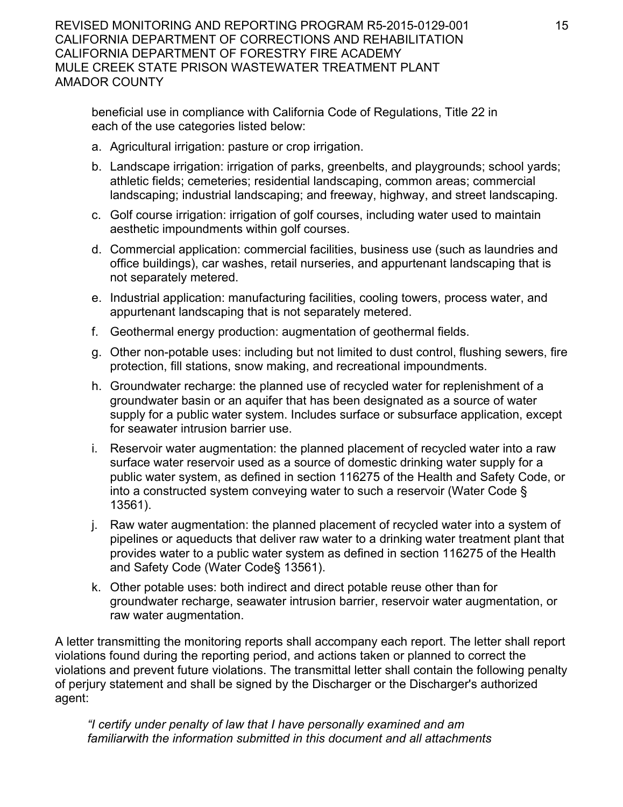REVISED MONITORING AND REPORTING PROGRAM R5-2015-0129-001 15 CALIFORNIA DEPARTMENT OF CORRECTIONS AND REHABILITATION CALIFORNIA DEPARTMENT OF FORESTRY FIRE ACADEMY MULE CREEK STATE PRISON WASTEWATER TREATMENT PLANT AMADOR COUNTY

beneficial use in compliance with California Code of Regulations, Title 22 in each of the use categories listed below:

- a. Agricultural irrigation: pasture or crop irrigation.
- b. Landscape irrigation: irrigation of parks, greenbelts, and playgrounds; school yards; athletic fields; cemeteries; residential landscaping, common areas; commercial landscaping; industrial landscaping; and freeway, highway, and street landscaping.
- c. Golf course irrigation: irrigation of golf courses, including water used to maintain aesthetic impoundments within golf courses.
- d. Commercial application: commercial facilities, business use (such as laundries and office buildings), car washes, retail nurseries, and appurtenant landscaping that is not separately metered.
- e. Industrial application: manufacturing facilities, cooling towers, process water, and appurtenant landscaping that is not separately metered.
- f. Geothermal energy production: augmentation of geothermal fields.
- g. Other non-potable uses: including but not limited to dust control, flushing sewers, fire protection, fill stations, snow making, and recreational impoundments.
- h. Groundwater recharge: the planned use of recycled water for replenishment of a groundwater basin or an aquifer that has been designated as a source of water supply for a public water system. Includes surface or subsurface application, except for seawater intrusion barrier use.
- i. Reservoir water augmentation: the planned placement of recycled water into a raw surface water reservoir used as a source of domestic drinking water supply for a public water system, as defined in section 116275 of the Health and Safety Code, or into a constructed system conveying water to such a reservoir (Water Code § 13561).
- j. Raw water augmentation: the planned placement of recycled water into a system of pipelines or aqueducts that deliver raw water to a drinking water treatment plant that provides water to a public water system as defined in section 116275 of the Health and Safety Code (Water Code§ 13561).
- k. Other potable uses: both indirect and direct potable reuse other than for groundwater recharge, seawater intrusion barrier, reservoir water augmentation, or raw water augmentation.

A letter transmitting the monitoring reports shall accompany each report. The letter shall report violations found during the reporting period, and actions taken or planned to correct the violations and prevent future violations. The transmittal letter shall contain the following penalty of perjury statement and shall be signed by the Discharger or the Discharger's authorized agent:

*"I certify under penalty of law that I have personally examined and am familiarwith the information submitted in this document and all attachments*